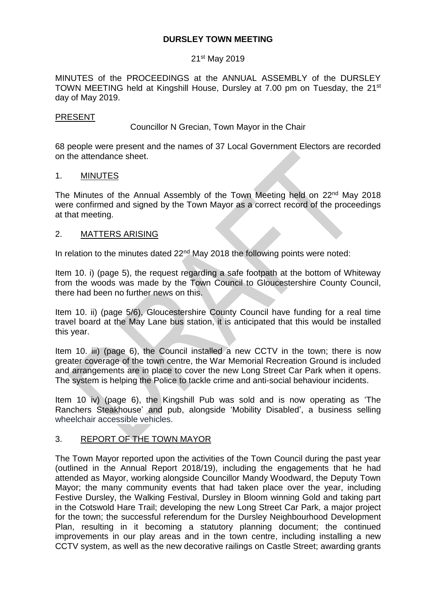### **DURSLEY TOWN MEETING**

### 21st May 2019

MINUTES of the PROCEEDINGS at the ANNUAL ASSEMBLY of the DURSLEY TOWN MEETING held at Kingshill House, Dursley at 7.00 pm on Tuesday, the 21<sup>st</sup> day of May 2019.

#### PRESENT

Councillor N Grecian, Town Mayor in the Chair

68 people were present and the names of 37 Local Government Electors are recorded on the attendance sheet.

#### 1. MINUTES

The Minutes of the Annual Assembly of the Town Meeting held on 22<sup>nd</sup> May 2018 were confirmed and signed by the Town Mayor as a correct record of the proceedings at that meeting.

### 2. MATTERS ARISING

In relation to the minutes dated 22<sup>nd</sup> May 2018 the following points were noted:

Item 10. i) (page 5), the request regarding a safe footpath at the bottom of Whiteway from the woods was made by the Town Council to Gloucestershire County Council, there had been no further news on this.

Item 10. ii) (page 5/6), Gloucestershire County Council have funding for a real time travel board at the May Lane bus station, it is anticipated that this would be installed this year.

Item 10. iii) (page 6), the Council installed a new CCTV in the town; there is now greater coverage of the town centre, the War Memorial Recreation Ground is included and arrangements are in place to cover the new Long Street Car Park when it opens. The system is helping the Police to tackle crime and anti-social behaviour incidents.

Item 10 iv) (page 6), the Kingshill Pub was sold and is now operating as 'The Ranchers Steakhouse' and pub, alongside 'Mobility Disabled', a business selling wheelchair accessible vehicles.

### 3. REPORT OF THE TOWN MAYOR

The Town Mayor reported upon the activities of the Town Council during the past year (outlined in the Annual Report 2018/19), including the engagements that he had attended as Mayor, working alongside Councillor Mandy Woodward, the Deputy Town Mayor; the many community events that had taken place over the year, including Festive Dursley, the Walking Festival, Dursley in Bloom winning Gold and taking part in the Cotswold Hare Trail; developing the new Long Street Car Park, a major project for the town; the successful referendum for the Dursley Neighbourhood Development Plan, resulting in it becoming a statutory planning document; the continued improvements in our play areas and in the town centre, including installing a new CCTV system, as well as the new decorative railings on Castle Street; awarding grants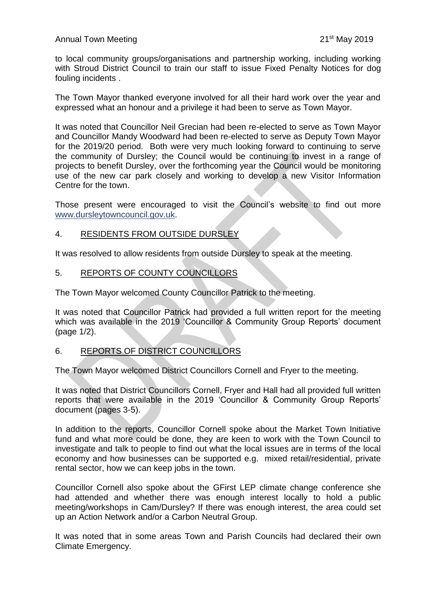to local community groups/organisations and partnership working, including working with Stroud District Council to train our staff to issue Fixed Penalty Notices for dog fouling incidents .

The Town Mayor thanked everyone involved for all their hard work over the year and expressed what an honour and a privilege it had been to serve as Town Mayor.

It was noted that Councillor Neil Grecian had been re-elected to serve as Town Mayor and Councillor Mandy Woodward had been re-elected to serve as Deputy Town Mayor for the 2019/20 period. Both were very much looking forward to continuing to serve the community of Dursley; the Council would be continuing to invest in a range of projects to benefit Dursley, over the forthcoming year the Council would be monitoring use of the new car park closely and working to develop a new Visitor Information Centre for the town.

Those present were encouraged to visit the Council's website to find out more [www.dursleytowncouncil.gov.uk.](http://www.dursleytowncouncil.gov.uk/)

# 4. RESIDENTS FROM OUTSIDE DURSLEY

It was resolved to allow residents from outside Dursley to speak at the meeting.

### 5. REPORTS OF COUNTY COUNCILLORS

The Town Mayor welcomed County Councillor Patrick to the meeting.

It was noted that Councillor Patrick had provided a full written report for the meeting which was available in the 2019 'Councillor & Community Group Reports' document (page 1/2).

# 6. REPORTS OF DISTRICT COUNCILLORS

The Town Mayor welcomed District Councillors Cornell and Fryer to the meeting.

It was noted that District Councillors Cornell, Fryer and Hall had all provided full written reports that were available in the 2019 'Councillor & Community Group Reports' document (pages 3-5).

In addition to the reports, Councillor Cornell spoke about the Market Town Initiative fund and what more could be done, they are keen to work with the Town Council to investigate and talk to people to find out what the local issues are in terms of the local economy and how businesses can be supported e.g. mixed retail/residential, private rental sector, how we can keep jobs in the town.

Councillor Cornell also spoke about the GFirst LEP climate change conference she had attended and whether there was enough interest locally to hold a public meeting/workshops in Cam/Dursley? If there was enough interest, the area could set up an Action Network and/or a Carbon Neutral Group.

It was noted that in some areas Town and Parish Councils had declared their own Climate Emergency.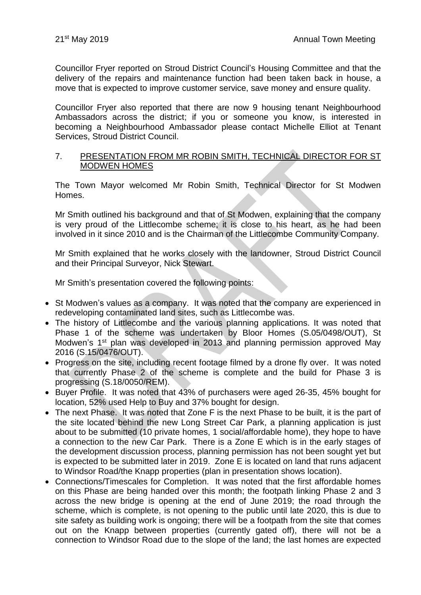Councillor Fryer reported on Stroud District Council's Housing Committee and that the delivery of the repairs and maintenance function had been taken back in house, a move that is expected to improve customer service, save money and ensure quality.

Councillor Fryer also reported that there are now 9 housing tenant Neighbourhood Ambassadors across the district; if you or someone you know, is interested in becoming a Neighbourhood Ambassador please contact Michelle Elliot at Tenant Services, Stroud District Council.

### 7. PRESENTATION FROM MR ROBIN SMITH, TECHNICAL DIRECTOR FOR ST MODWEN HOMES

The Town Mayor welcomed Mr Robin Smith, Technical Director for St Modwen Homes.

Mr Smith outlined his background and that of St Modwen, explaining that the company is very proud of the Littlecombe scheme; it is close to his heart, as he had been involved in it since 2010 and is the Chairman of the Littlecombe Community Company.

Mr Smith explained that he works closely with the landowner, Stroud District Council and their Principal Surveyor, Nick Stewart.

Mr Smith's presentation covered the following points:

- St Modwen's values as a company. It was noted that the company are experienced in redeveloping contaminated land sites, such as Littlecombe was.
- The history of Littlecombe and the various planning applications. It was noted that Phase 1 of the scheme was undertaken by Bloor Homes (S.05/0498/OUT), St Modwen's 1<sup>st</sup> plan was developed in 2013 and planning permission approved May 2016 (S.15/0476/OUT).
- Progress on the site, including recent footage filmed by a drone fly over. It was noted that currently Phase 2 of the scheme is complete and the build for Phase 3 is progressing (S.18/0050/REM).
- Buyer Profile. It was noted that 43% of purchasers were aged 26-35, 45% bought for location, 52% used Help to Buy and 37% bought for design.
- The next Phase. It was noted that Zone F is the next Phase to be built, it is the part of the site located behind the new Long Street Car Park, a planning application is just about to be submitted (10 private homes, 1 social/affordable home), they hope to have a connection to the new Car Park. There is a Zone E which is in the early stages of the development discussion process, planning permission has not been sought yet but is expected to be submitted later in 2019. Zone E is located on land that runs adjacent to Windsor Road/the Knapp properties (plan in presentation shows location).
- Connections/Timescales for Completion. It was noted that the first affordable homes on this Phase are being handed over this month; the footpath linking Phase 2 and 3 across the new bridge is opening at the end of June 2019; the road through the scheme, which is complete, is not opening to the public until late 2020, this is due to site safety as building work is ongoing; there will be a footpath from the site that comes out on the Knapp between properties (currently gated off), there will not be a connection to Windsor Road due to the slope of the land; the last homes are expected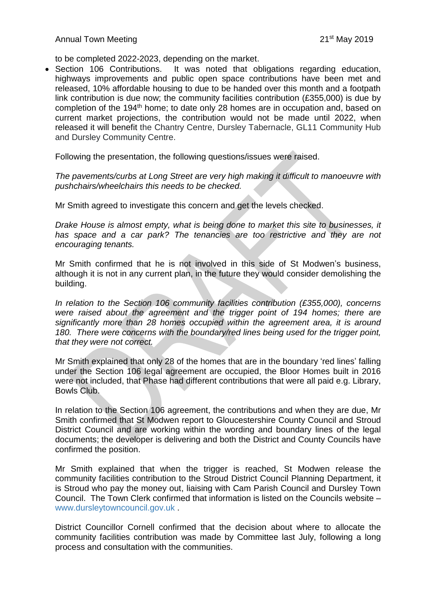to be completed 2022-2023, depending on the market.

• Section 106 Contributions. It was noted that obligations regarding education, highways improvements and public open space contributions have been met and released, 10% affordable housing to due to be handed over this month and a footpath link contribution is due now; the community facilities contribution (£355,000) is due by completion of the 194<sup>th</sup> home; to date only 28 homes are in occupation and, based on current market projections, the contribution would not be made until 2022, when released it will benefit the Chantry Centre, Dursley Tabernacle, GL11 Community Hub and Dursley Community Centre.

Following the presentation, the following questions/issues were raised.

*The pavements/curbs at Long Street are very high making it difficult to manoeuvre with pushchairs/wheelchairs this needs to be checked.* 

Mr Smith agreed to investigate this concern and get the levels checked.

*Drake House is almost empty, what is being done to market this site to businesses, it has space and a car park? The tenancies are too restrictive and they are not encouraging tenants.*

Mr Smith confirmed that he is not involved in this side of St Modwen's business, although it is not in any current plan, in the future they would consider demolishing the building.

*In relation to the Section 106 community facilities contribution (£355,000), concerns were raised about the agreement and the trigger point of 194 homes; there are significantly more than 28 homes occupied within the agreement area, it is around 180. There were concerns with the boundary/red lines being used for the trigger point, that they were not correct.*

Mr Smith explained that only 28 of the homes that are in the boundary 'red lines' falling under the Section 106 legal agreement are occupied, the Bloor Homes built in 2016 were not included, that Phase had different contributions that were all paid e.g. Library, Bowls Club.

In relation to the Section 106 agreement, the contributions and when they are due, Mr Smith confirmed that St Modwen report to Gloucestershire County Council and Stroud District Council and are working within the wording and boundary lines of the legal documents; the developer is delivering and both the District and County Councils have confirmed the position.

Mr Smith explained that when the trigger is reached, St Modwen release the community facilities contribution to the Stroud District Council Planning Department, it is Stroud who pay the money out, liaising with Cam Parish Council and Dursley Town Council. The Town Clerk confirmed that information is listed on the Councils website – [www.dursleytowncouncil.gov.uk](http://www.dursleytowncouncil.gov.uk/) .

District Councillor Cornell confirmed that the decision about where to allocate the community facilities contribution was made by Committee last July, following a long process and consultation with the communities.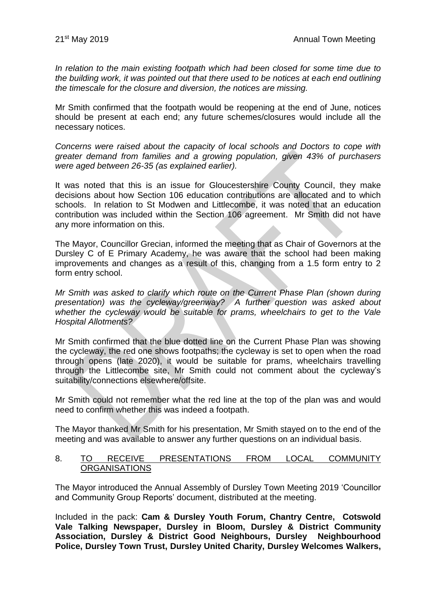*In relation to the main existing footpath which had been closed for some time due to the building work, it was pointed out that there used to be notices at each end outlining the timescale for the closure and diversion, the notices are missing.*

Mr Smith confirmed that the footpath would be reopening at the end of June, notices should be present at each end; any future schemes/closures would include all the necessary notices.

*Concerns were raised about the capacity of local schools and Doctors to cope with greater demand from families and a growing population, given 43% of purchasers were aged between 26-35 (as explained earlier).*

It was noted that this is an issue for Gloucestershire County Council, they make decisions about how Section 106 education contributions are allocated and to which schools. In relation to St Modwen and Littlecombe, it was noted that an education contribution was included within the Section 106 agreement. Mr Smith did not have any more information on this.

The Mayor, Councillor Grecian, informed the meeting that as Chair of Governors at the Dursley C of E Primary Academy, he was aware that the school had been making improvements and changes as a result of this, changing from a 1.5 form entry to 2 form entry school.

*Mr Smith was asked to clarify which route on the Current Phase Plan (shown during presentation) was the cycleway/greenway? A further question was asked about whether the cycleway would be suitable for prams, wheelchairs to get to the Vale Hospital Allotments?*

Mr Smith confirmed that the blue dotted line on the Current Phase Plan was showing the cycleway, the red one shows footpaths; the cycleway is set to open when the road through opens (late 2020), it would be suitable for prams, wheelchairs travelling through the Littlecombe site, Mr Smith could not comment about the cycleway's suitability/connections elsewhere/offsite.

Mr Smith could not remember what the red line at the top of the plan was and would need to confirm whether this was indeed a footpath.

The Mayor thanked Mr Smith for his presentation, Mr Smith stayed on to the end of the meeting and was available to answer any further questions on an individual basis.

#### 8. TO RECEIVE PRESENTATIONS FROM LOCAL COMMUNITY **ORGANISATIONS**

The Mayor introduced the Annual Assembly of Dursley Town Meeting 2019 'Councillor and Community Group Reports' document, distributed at the meeting.

Included in the pack: **Cam & Dursley Youth Forum, Chantry Centre, Cotswold Vale Talking Newspaper, Dursley in Bloom, Dursley & District Community Association, Dursley & District Good Neighbours, Dursley Neighbourhood Police, Dursley Town Trust, Dursley United Charity, Dursley Welcomes Walkers,**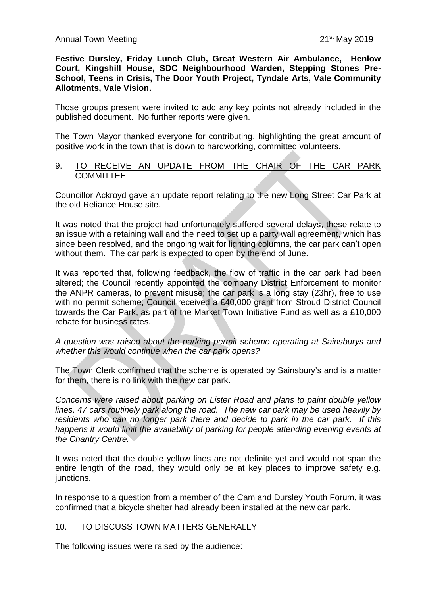**Festive Dursley, Friday Lunch Club, Great Western Air Ambulance, Henlow Court, Kingshill House, SDC Neighbourhood Warden, Stepping Stones Pre-School, Teens in Crisis, The Door Youth Project, Tyndale Arts, Vale Community Allotments, Vale Vision.**

Those groups present were invited to add any key points not already included in the published document. No further reports were given.

The Town Mayor thanked everyone for contributing, highlighting the great amount of positive work in the town that is down to hardworking, committed volunteers.

#### 9. TO RECEIVE AN UPDATE FROM THE CHAIR OF THE CAR PARK **COMMITTEE**

Councillor Ackroyd gave an update report relating to the new Long Street Car Park at the old Reliance House site.

It was noted that the project had unfortunately suffered several delays, these relate to an issue with a retaining wall and the need to set up a party wall agreement, which has since been resolved, and the ongoing wait for lighting columns, the car park can't open without them. The car park is expected to open by the end of June.

It was reported that, following feedback, the flow of traffic in the car park had been altered; the Council recently appointed the company District Enforcement to monitor the ANPR cameras, to prevent misuse; the car park is a long stay (23hr), free to use with no permit scheme; Council received a £40,000 grant from Stroud District Council towards the Car Park, as part of the Market Town Initiative Fund as well as a £10,000 rebate for business rates.

### *A question was raised about the parking permit scheme operating at Sainsburys and whether this would continue when the car park opens?*

The Town Clerk confirmed that the scheme is operated by Sainsbury's and is a matter for them, there is no link with the new car park.

*Concerns were raised about parking on Lister Road and plans to paint double yellow lines, 47 cars routinely park along the road. The new car park may be used heavily by residents who can no longer park there and decide to park in the car park. If this happens it would limit the availability of parking for people attending evening events at the Chantry Centre.*

It was noted that the double yellow lines are not definite yet and would not span the entire length of the road, they would only be at key places to improve safety e.g. junctions.

In response to a question from a member of the Cam and Dursley Youth Forum, it was confirmed that a bicycle shelter had already been installed at the new car park.

# 10. TO DISCUSS TOWN MATTERS GENERALLY

The following issues were raised by the audience: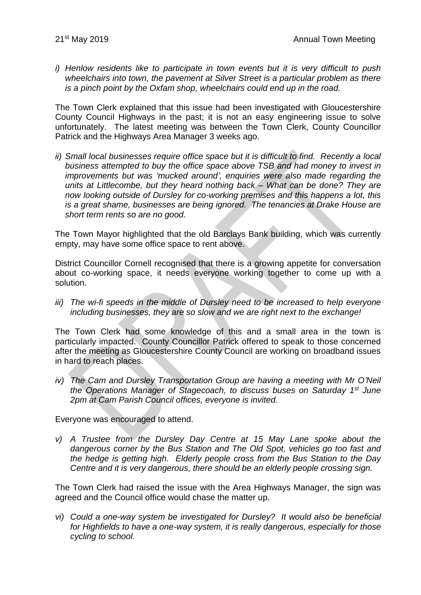*i) Henlow residents like to participate in town events but it is very difficult to push wheelchairs into town, the pavement at Silver Street is a particular problem as there is a pinch point by the Oxfam shop, wheelchairs could end up in the road.*

The Town Clerk explained that this issue had been investigated with Gloucestershire County Council Highways in the past; it is not an easy engineering issue to solve unfortunately. The latest meeting was between the Town Clerk, County Councillor Patrick and the Highways Area Manager 3 weeks ago.

*ii) Small local businesses require office space but it is difficult to find. Recently a local business attempted to buy the office space above TSB and had money to invest in improvements but was 'mucked around', enquiries were also made regarding the units at Littlecombe, but they heard nothing back – What can be done? They are now looking outside of Dursley for co-working premises and this happens a lot, this is a great shame, businesses are being ignored. The tenancies at Drake House are short term rents so are no good.*

The Town Mayor highlighted that the old Barclays Bank building, which was currently empty, may have some office space to rent above.

District Councillor Cornell recognised that there is a growing appetite for conversation about co-working space, it needs everyone working together to come up with a solution.

*iii*) The wi-fi speeds in the middle of Dursley need to be increased to help everyone *including businesses, they are so slow and we are right next to the exchange!*

The Town Clerk had some knowledge of this and a small area in the town is particularly impacted. County Councillor Patrick offered to speak to those concerned after the meeting as Gloucestershire County Council are working on broadband issues in hard to reach places.

*iv) The Cam and Dursley Transportation Group are having a meeting with Mr O'Neil the Operations Manager of Stagecoach, to discuss buses on Saturday 1st June 2pm at Cam Parish Council offices, everyone is invited.*

Everyone was encouraged to attend.

*v) A Trustee from the Dursley Day Centre at 15 May Lane spoke about the dangerous corner by the Bus Station and The Old Spot, vehicles go too fast and the hedge is getting high. Elderly people cross from the Bus Station to the Day Centre and it is very dangerous, there should be an elderly people crossing sign.*

The Town Clerk had raised the issue with the Area Highways Manager, the sign was agreed and the Council office would chase the matter up.

*vi) Could a one-way system be investigated for Dursley? It would also be beneficial for Highfields to have a one-way system, it is really dangerous, especially for those cycling to school.*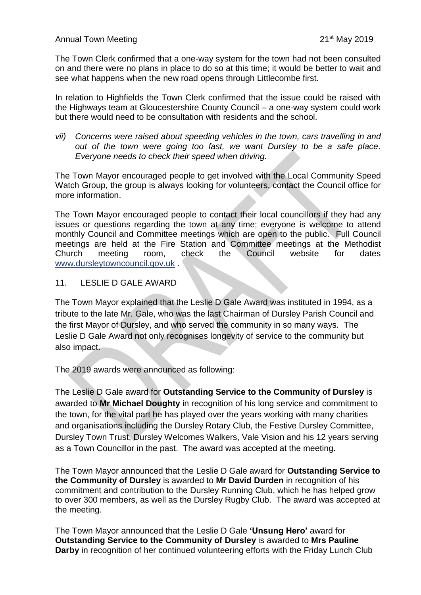The Town Clerk confirmed that a one-way system for the town had not been consulted on and there were no plans in place to do so at this time; it would be better to wait and see what happens when the new road opens through Littlecombe first.

In relation to Highfields the Town Clerk confirmed that the issue could be raised with the Highways team at Gloucestershire County Council – a one-way system could work but there would need to be consultation with residents and the school.

*vii) Concerns were raised about speeding vehicles in the town, cars travelling in and out of the town were going too fast, we want Dursley to be a safe place. Everyone needs to check their speed when driving.*

The Town Mayor encouraged people to get involved with the Local Community Speed Watch Group, the group is always looking for volunteers, contact the Council office for more information.

The Town Mayor encouraged people to contact their local councillors if they had any issues or questions regarding the town at any time; everyone is welcome to attend monthly Council and Committee meetings which are open to the public. Full Council meetings are held at the Fire Station and Committee meetings at the Methodist Church meeting room, check the Council website for dates [www.dursleytowncouncil.gov.uk](http://www.dursleytowncouncil.gov.uk/) .

# 11. LESLIE D GALE AWARD

The Town Mayor explained that the Leslie D Gale Award was instituted in 1994, as a tribute to the late Mr. Gale, who was the last Chairman of Dursley Parish Council and the first Mayor of Dursley, and who served the community in so many ways. The Leslie D Gale Award not only recognises longevity of service to the community but also impact.

The 2019 awards were announced as following:

The Leslie D Gale award for **Outstanding Service to the Community of Dursley** is awarded to **Mr Michael Doughty** in recognition of his long service and commitment to the town, for the vital part he has played over the years working with many charities and organisations including the Dursley Rotary Club, the Festive Dursley Committee, Dursley Town Trust, Dursley Welcomes Walkers, Vale Vision and his 12 years serving as a Town Councillor in the past. The award was accepted at the meeting.

The Town Mayor announced that the Leslie D Gale award for **Outstanding Service to the Community of Dursley** is awarded to **Mr David Durden** in recognition of his commitment and contribution to the Dursley Running Club, which he has helped grow to over 300 members, as well as the Dursley Rugby Club. The award was accepted at the meeting.

The Town Mayor announced that the Leslie D Gale **'Unsung Hero'** award for **Outstanding Service to the Community of Dursley** is awarded to **Mrs Pauline Darby** in recognition of her continued volunteering efforts with the Friday Lunch Club